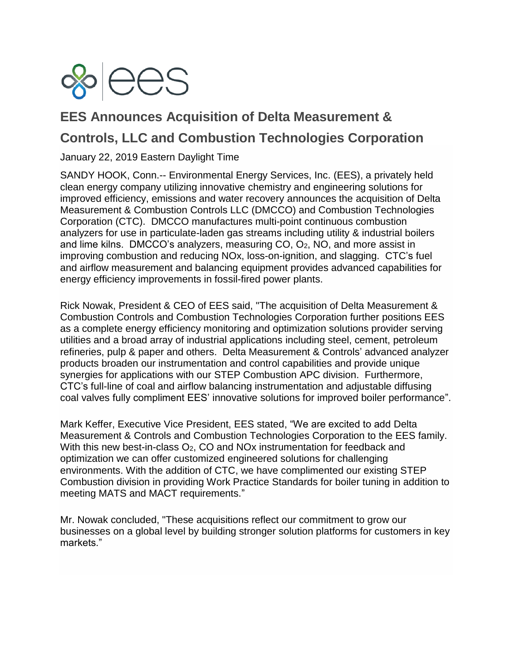

## **EES Announces Acquisition of Delta Measurement & Controls, LLC and Combustion Technologies Corporation**

January 22, 2019 Eastern Daylight Time

SANDY HOOK, Conn.-- [Environmental Energy Services, Inc.](http://cts.businesswire.com/ct/CT?id=smartlink&url=http%3A%2F%2Fwww.eescorp.com&esheet=51765910&newsitemid=20180312005326&lan=en-US&anchor=Environmental+Energy+Services%2C+Inc.&index=1&md5=23ead2c2b31bfa02dd4bd238eac7a131) (EES), a privately held clean energy company utilizing innovative chemistry and engineering solutions for improved efficiency, emissions and water recovery announces the acquisition of Delta Measurement & Combustion Controls LLC (DMCCO) and Combustion Technologies Corporation (CTC). DMCCO manufactures multi-point continuous combustion analyzers for use in particulate-laden gas streams including utility & industrial boilers and lime kilns. DMCCO's analyzers, measuring  $CO$ ,  $O<sub>2</sub>$ , NO, and more assist in improving combustion and reducing NOx, loss-on-ignition, and slagging. CTC's fuel and airflow measurement and balancing equipment provides advanced capabilities for energy efficiency improvements in fossil-fired power plants.

Rick Nowak, President & CEO of EES said, "The acquisition of Delta Measurement & Combustion Controls and Combustion Technologies Corporation further positions EES as a complete energy efficiency monitoring and optimization solutions provider serving utilities and a broad array of industrial applications including steel, cement, petroleum refineries, pulp & paper and others. Delta Measurement & Controls' advanced analyzer products broaden our instrumentation and control capabilities and provide unique synergies for applications with our STEP Combustion APC division. Furthermore, CTC's full-line of coal and airflow balancing instrumentation and adjustable diffusing coal valves fully compliment EES' innovative solutions for improved boiler performance".

Mark Keffer, Executive Vice President, EES stated, "We are excited to add Delta Measurement & Controls and Combustion Technologies Corporation to the EES family. With this new best-in-class O<sub>2</sub>, CO and NO<sub>x</sub> instrumentation for feedback and optimization we can offer customized engineered solutions for challenging environments. With the addition of CTC, we have complimented our existing STEP Combustion division in providing Work Practice Standards for boiler tuning in addition to meeting MATS and MACT requirements."

Mr. Nowak concluded, "These acquisitions reflect our commitment to grow our businesses on a global level by building stronger solution platforms for customers in key markets."